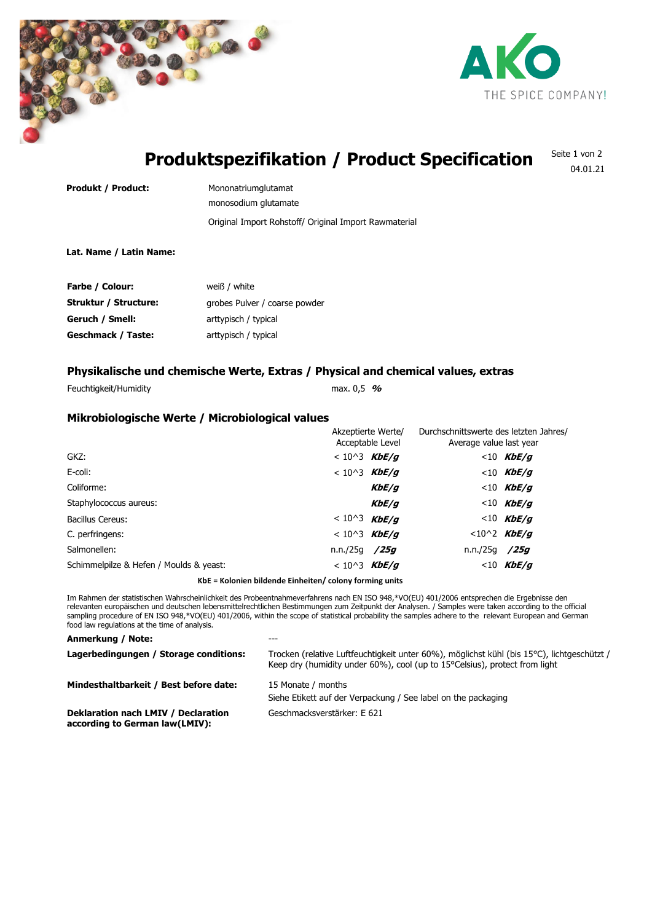



04.01.21

### **Produktspezifikation / Product Specification** Seite 1 von 2

**Produkt / Product:** Mononatriumglutamat Original Import Rohstoff/ Original Import Rawmaterial monosodium glutamate

# **Lat. Name / Latin Name:**

| Farbe / Colour:       | weiß / white                  |
|-----------------------|-------------------------------|
| Struktur / Structure: | grobes Pulver / coarse powder |
| Geruch / Smell:       | arttypisch / typical          |
| Geschmack / Taste:    | arttypisch / typical          |

# **Physikalische und chemische Werte, Extras / Physical and chemical values, extras**

Feuchtigkeit/Humidity max. 0,5 **%**

# **Mikrobiologische Werte / Microbiological values**

|                                         |                     | Akzeptierte Werte/<br>Acceptable Level |               | Durchschnittswerte des letzten Jahres/<br>Average value last year |  |
|-----------------------------------------|---------------------|----------------------------------------|---------------|-------------------------------------------------------------------|--|
| GKZ:                                    | $< 10^3$ KbE/g      |                                        |               | $< 10$ KbE/g                                                      |  |
| E-coli:                                 | $< 10^{3}$ KbE/g    |                                        |               | $<$ 10 KbE/q                                                      |  |
| Coliforme:                              |                     | KbE/q                                  |               | $< 10$ KbE/g                                                      |  |
| Staphylococcus aureus:                  |                     | KbE/q                                  |               | $< 10$ KbE/g                                                      |  |
| <b>Bacillus Cereus:</b>                 | < 10^3 <b>KbE/g</b> |                                        |               | $< 10$ KbE/g                                                      |  |
| C. perfringens:                         | $< 10^3$ KbE/g      |                                        |               | $< 10^2$ KbE/g                                                    |  |
| Salmonellen:                            | n.n./25g /25g       |                                        | n.n./25g /25g |                                                                   |  |
| Schimmelpilze & Hefen / Moulds & yeast: | < 10^3 <b>KbE/g</b> |                                        |               | $<$ 10 KbE/q                                                      |  |
|                                         |                     |                                        |               |                                                                   |  |

**KbE = Kolonien bildende Einheiten/ colony forming units**

Im Rahmen der statistischen Wahrscheinlichkeit des Probeentnahmeverfahrens nach EN ISO 948,\*VO(EU) 401/2006 entsprechen die Ergebnisse den relevanten europäischen und deutschen lebensmittelrechtlichen Bestimmungen zum Zeitpunkt der Analysen. / Samples were taken according to the official sampling procedure of EN ISO 948,\*VO(EU) 401/2006, within the scope of statistical probability the samples adhere to the relevant European and German food law regulations at the time of analysis.

| Anmerkung / Note:                                                     | ---                                                                                                                                                                      |
|-----------------------------------------------------------------------|--------------------------------------------------------------------------------------------------------------------------------------------------------------------------|
| Lagerbedingungen / Storage conditions:                                | Trocken (relative Luftfeuchtigkeit unter 60%), möglichst kühl (bis 15°C), lichtgeschützt /<br>Keep dry (humidity under 60%), cool (up to 15°Celsius), protect from light |
| Mindesthaltbarkeit / Best before date:                                | 15 Monate / months<br>Siehe Etikett auf der Verpackung / See label on the packaging                                                                                      |
| Deklaration nach LMIV / Declaration<br>according to German law(LMIV): | Geschmacksverstärker: E 621                                                                                                                                              |